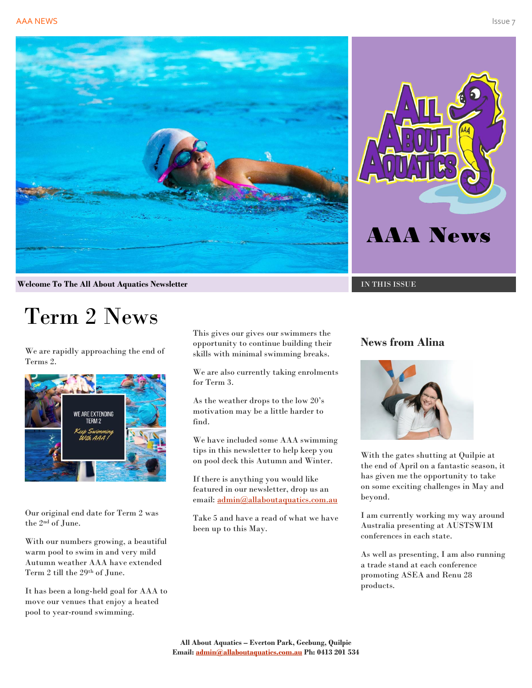



**Welcome To The All About Aquatics Newsletter Intervalsed and INSERIES ISSUE** 

# Term 2 News

We are rapidly approaching the end of Terms 2.



Our original end date for Term 2 was the 2nd of June.

With our numbers growing, a beautiful warm pool to swim in and very mild Autumn weather AAA have extended Term 2 till the 29th of June.

It has been a long-held goal for AAA to move our venues that enjoy a heated pool to year-round swimming.

This gives our gives our swimmers the opportunity to continue building their skills with minimal swimming breaks.

We are also currently taking enrolments for Term 3.

As the weather drops to the low 20's motivation may be a little harder to find.

We have included some AAA swimming tips in this newsletter to help keep you on pool deck this Autumn and Winter.

If there is anything you would like featured in our newsletter, drop us an email: [admin@allaboutaquatics.com.au](mailto:admin@allaboutaquatics.com.au)

Take 5 and have a read of what we have been up to this May.

#### **News from Alina**



With the gates shutting at Quilpie at the end of April on a fantastic season, it has given me the opportunity to take on some exciting challenges in May and beyond.

I am currently working my way around Australia presenting at AUSTSWIM conferences in each state.

As well as presenting, I am also running a trade stand at each conference promoting ASEA and Renu 28 products.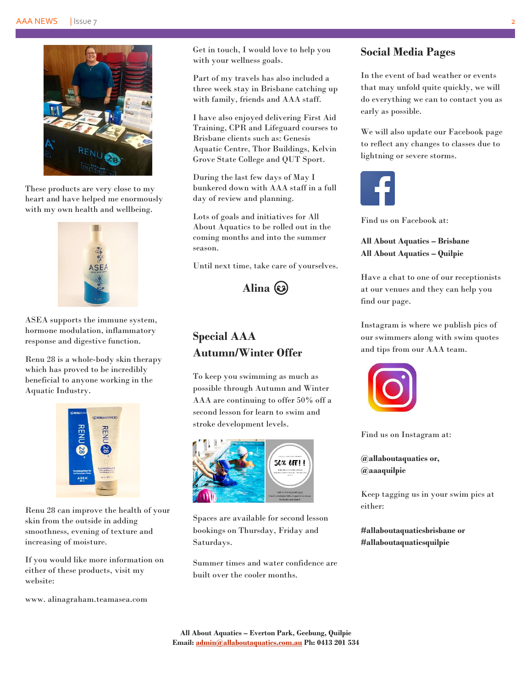

These products are very close to my heart and have helped me enormously with my own health and wellbeing.



ASEA supports the immune system, hormone modulation, inflammatory response and digestive function.

Renu 28 is a whole-body skin therapy which has proved to be incredibly beneficial to anyone working in the Aquatic Industry.



Renu 28 can improve the health of your skin from the outside in adding smoothness, evening of texture and increasing of moisture.

If you would like more information on either of these products, visit my website:

www. alinagraham.teamasea.com

Get in touch, I would love to help you with your wellness goals.

Part of my travels has also included a three week stay in Brisbane catching up with family, friends and AAA staff.

I have also enjoyed delivering First Aid Training, CPR and Lifeguard courses to Brisbane clients such as: Genesis Aquatic Centre, Thor Buildings, Kelvin Grove State College and QUT Sport.

During the last few days of May I bunkered down with AAA staff in a full day of review and planning.

Lots of goals and initiatives for All About Aquatics to be rolled out in the coming months and into the summer season.

Until next time, take care of yourselves.

**Alina**

# **Special AAA Autumn/Winter Offer**

To keep you swimming as much as possible through Autumn and Winter AAA are continuing to offer 50% off a second lesson for learn to swim and stroke development levels.



Spaces are available for second lesson bookings on Thursday, Friday and Saturdays.

Summer times and water confidence are built over the cooler months.

#### **Social Media Pages**

In the event of bad weather or events that may unfold quite quickly, we will do everything we can to contact you as early as possible.

We will also update our Facebook page to reflect any changes to classes due to lightning or severe storms.



Find us on Facebook at:

**All About Aquatics – Brisbane All About Aquatics – Quilpie**

Have a chat to one of our receptionists at our venues and they can help you find our page.

Instagram is where we publish pics of our swimmers along with swim quotes and tips from our AAA team.



Find us on Instagram at:

**@allaboutaquatics or, @aaaquilpie**

Keep tagging us in your swim pics at either:

**#allaboutaquaticsbrisbane or #allaboutaquaticsquilpie**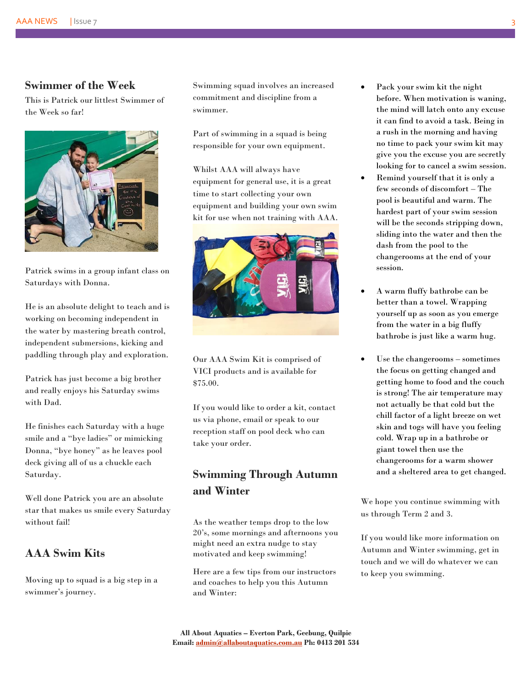#### **Swimmer of the Week**

This is Patrick our littlest Swimmer of the Week so far!



Patrick swims in a group infant class on Saturdays with Donna.

He is an absolute delight to teach and is working on becoming independent in the water by mastering breath control, independent submersions, kicking and paddling through play and exploration.

Patrick has just become a big brother and really enjoys his Saturday swims with Dad.

He finishes each Saturday with a huge smile and a "bye ladies" or mimicking Donna, "bye honey" as he leaves pool deck giving all of us a chuckle each Saturday.

Well done Patrick you are an absolute star that makes us smile every Saturday without fail!

#### **AAA Swim Kits**

Moving up to squad is a big step in a swimmer's journey.

Swimming squad involves an increased commitment and discipline from a swimmer.

Part of swimming in a squad is being responsible for your own equipment.

Whilst AAA will always have equipment for general use, it is a great time to start collecting your own equipment and building your own swim kit for use when not training with AAA.



Our AAA Swim Kit is comprised of VICI products and is available for \$75.00.

If you would like to order a kit, contact us via phone, email or speak to our reception staff on pool deck who can take your order.

# **Swimming Through Autumn and Winter**

As the weather temps drop to the low 20's, some mornings and afternoons you might need an extra nudge to stay motivated and keep swimming!

Here are a few tips from our instructors and coaches to help you this Autumn and Winter:

- Pack your swim kit the night before. When motivation is waning, the mind will latch onto any excuse it can find to avoid a task. Being in a rush in the morning and having no time to pack your swim kit may give you the excuse you are secretly looking for to cancel a swim session.
- Remind yourself that it is only a few seconds of discomfort – The pool is beautiful and warm. The hardest part of your swim session will be the seconds stripping down, sliding into the water and then the dash from the pool to the changerooms at the end of your session.
- A warm fluffy bathrobe can be better than a towel. Wrapping yourself up as soon as you emerge from the water in a big fluffy bathrobe is just like a warm hug.
- Use the changerooms sometimes the focus on getting changed and getting home to food and the couch is strong! The air temperature may not actually be that cold but the chill factor of a light breeze on wet skin and togs will have you feeling cold. Wrap up in a bathrobe or giant towel then use the changerooms for a warm shower and a sheltered area to get changed.

We hope you continue swimming with us through Term 2 and 3.

If you would like more information on Autumn and Winter swimming, get in touch and we will do whatever we can to keep you swimming.